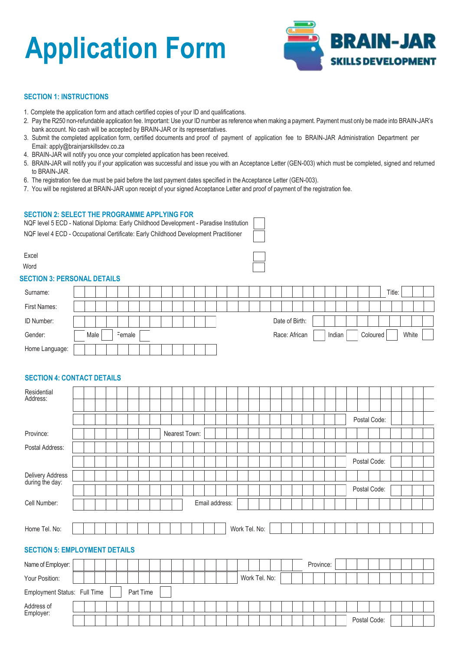# **Application Form**



## **SECTION 1: INSTRUCTIONS**

- 1. Complete the application form and attach certified copies of your ID and qualifications.
- 2. Pay the R250 non-refundable application fee. Important: Use your ID number as reference whenmaking a payment. Payment must only be made into BRAIN-JAR's bank account. No cash will be accepted by BRAIN-JAR or its representatives.
- 3. Submit the completed application form, certified documents and proof of payment of application fee to BRAIN-JAR Administration Department per Email: [apply@brainjarskillsdev.co.za](mailto:apply@brainjarskillsdev.co.za)
- 4. BRAIN-JAR will notify you once your completed application has been received.
- 5. BRAIN-JAR will notify you if your application was successful and issue you with an Acceptance Letter (GEN-003) which must be completed, signed and returned to BRAIN-JAR.
- 6. The registration fee due must be paid before the last payment dates specified in the Acceptance Letter (GEN-003).
- 7. You will be registered at BRAIN-JAR upon receipt of your signed Acceptance Letter and proof of payment of the registration fee.

#### **SECTION 2: SELECT THE PROGRAMME APPLYING FOR**

| NQF level 5 ECD - National Diploma: Early Childhood Development - Paradise Institution |
|----------------------------------------------------------------------------------------|
| NQF level 4 ECD - Occupational Certificate: Early Childhood Development Practitioner   |

| Excel<br>Word<br><b>SECTION 3: PERSONAL DETAILS</b> |      |  |        |  |  |  |  |  |  |  |  |                |  |        |  |          |        |       |  |
|-----------------------------------------------------|------|--|--------|--|--|--|--|--|--|--|--|----------------|--|--------|--|----------|--------|-------|--|
| Surname:                                            |      |  |        |  |  |  |  |  |  |  |  |                |  |        |  |          | Title: |       |  |
| First Names:                                        |      |  |        |  |  |  |  |  |  |  |  |                |  |        |  |          |        |       |  |
| ID Number:                                          |      |  |        |  |  |  |  |  |  |  |  | Date of Birth: |  |        |  |          |        |       |  |
| Gender:                                             | Male |  | Female |  |  |  |  |  |  |  |  | Race: African  |  | Indian |  | Coloured |        | White |  |
| Home Language:                                      |      |  |        |  |  |  |  |  |  |  |  |                |  |        |  |          |        |       |  |

# **SECTION 4: CONTACT DETAILS**

| Residential<br>Address:              |  |  |  |           |  |               |  |                |  |               |               |  |              |           |  |  |  |              |  |  |  |  |
|--------------------------------------|--|--|--|-----------|--|---------------|--|----------------|--|---------------|---------------|--|--------------|-----------|--|--|--|--------------|--|--|--|--|
|                                      |  |  |  |           |  |               |  |                |  |               |               |  |              |           |  |  |  |              |  |  |  |  |
|                                      |  |  |  |           |  |               |  |                |  |               |               |  |              |           |  |  |  | Postal Code: |  |  |  |  |
| Province:                            |  |  |  |           |  | Nearest Town: |  |                |  |               |               |  |              |           |  |  |  |              |  |  |  |  |
| Postal Address:                      |  |  |  |           |  |               |  |                |  |               |               |  |              |           |  |  |  |              |  |  |  |  |
|                                      |  |  |  |           |  |               |  |                |  |               |               |  |              |           |  |  |  | Postal Code: |  |  |  |  |
| Delivery Address<br>during the day:  |  |  |  |           |  |               |  |                |  |               |               |  |              |           |  |  |  |              |  |  |  |  |
|                                      |  |  |  |           |  |               |  |                |  |               |               |  |              |           |  |  |  | Postal Code: |  |  |  |  |
| Cell Number:                         |  |  |  |           |  |               |  | Email address: |  |               |               |  |              |           |  |  |  |              |  |  |  |  |
|                                      |  |  |  |           |  |               |  |                |  |               |               |  |              |           |  |  |  |              |  |  |  |  |
| Home Tel. No:                        |  |  |  |           |  |               |  |                |  | Work Tel. No: |               |  |              |           |  |  |  |              |  |  |  |  |
| <b>SECTION 5: EMPLOYMENT DETAILS</b> |  |  |  |           |  |               |  |                |  |               |               |  |              |           |  |  |  |              |  |  |  |  |
|                                      |  |  |  |           |  |               |  |                |  |               |               |  |              |           |  |  |  |              |  |  |  |  |
| Name of Employer:                    |  |  |  |           |  |               |  |                |  |               |               |  |              | Province: |  |  |  |              |  |  |  |  |
| Your Position:                       |  |  |  |           |  |               |  |                |  |               | Work Tel. No: |  |              |           |  |  |  |              |  |  |  |  |
| Employment Status: Full Time         |  |  |  | Part Time |  |               |  |                |  |               |               |  |              |           |  |  |  |              |  |  |  |  |
| Address of                           |  |  |  |           |  |               |  |                |  |               |               |  |              |           |  |  |  |              |  |  |  |  |
| Employer:                            |  |  |  |           |  |               |  |                |  |               |               |  | Postal Code: |           |  |  |  |              |  |  |  |  |
|                                      |  |  |  |           |  |               |  |                |  |               |               |  |              |           |  |  |  |              |  |  |  |  |